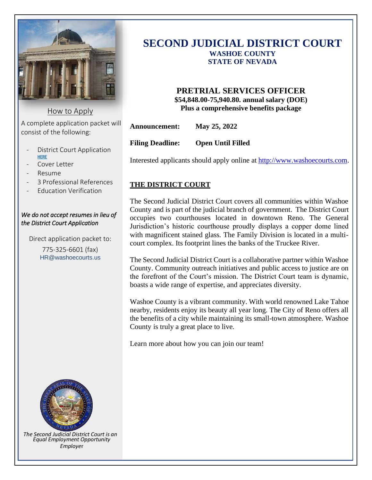

How to Apply

A complete application packet will consist of the following:

- District Court Application **[HERE](https://www.washoecourts.com/OtherDocs/HR/Job%20Application_modc.pdf?t=3/11/2021%202:33:21%20PM)**
- Cover Letter
- Resume
- 3 Professional References
- Education Verification

#### *We do not accept resumes in lieu of the District Court Application*

Direct application packet to:

775-325-6601 (fax) HR@washoecourts.us



*The Second Judicial District Court is an Equal Employment Opportunity Employe*r

# **SECOND JUDICIAL DISTRICT COURT WASHOE COUNTY STATE OF NEVADA**

# **PRETRIAL SERVICES OFFICER \$54,848.00-75,940.80. annual salary (DOE) Plus a comprehensive benefits package**

**Announcement: May 25, 2022**

**Filing Deadline: Open Until Filled**

Interested applicants should apply online at [http://www.washoecourts.com.](http://www.washoecourts.com/)

## **THE DISTRICT COURT**

The Second Judicial District Court covers all communities within Washoe County and is part of the judicial branch of government. The District Court occupies two courthouses located in downtown Reno. The General Jurisdiction's historic courthouse proudly displays a copper dome lined with magnificent stained glass. The Family Division is located in a multicourt complex. Its footprint lines the banks of the Truckee River.

The Second Judicial District Court is a collaborative partner within Washoe County. Community outreach initiatives and public access to justice are on the forefront of the Court's mission. The District Court team is dynamic, boasts a wide range of expertise, and appreciates diversity.

Washoe County is a vibrant community. With world renowned Lake Tahoe nearby, residents enjoy its beauty all year long. The City of Reno offers all the benefits of a city while maintaining its small-town atmosphere. Washoe County is truly a great place to live.

Learn more about how you can join our team!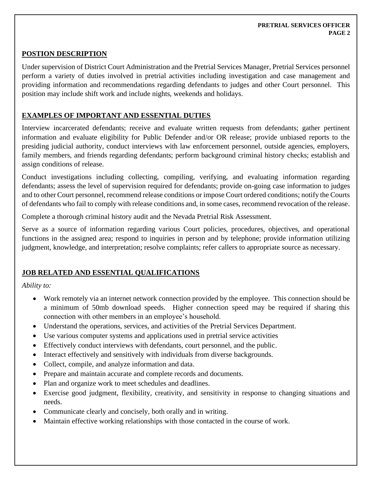#### **PRETRIAL SERVICES OFFICER PAGE 2**

#### **POSTION DESCRIPTION**

Under supervision of District Court Administration and the Pretrial Services Manager, Pretrial Services personnel perform a variety of duties involved in pretrial activities including investigation and case management and providing information and recommendations regarding defendants to judges and other Court personnel. This position may include shift work and include nights, weekends and holidays.

## **EXAMPLES OF IMPORTANT AND ESSENTIAL DUTIES**

Interview incarcerated defendants; receive and evaluate written requests from defendants; gather pertinent information and evaluate eligibility for Public Defender and/or OR release; provide unbiased reports to the presiding judicial authority, conduct interviews with law enforcement personnel, outside agencies, employers, family members, and friends regarding defendants; perform background criminal history checks; establish and assign conditions of release.

Conduct investigations including collecting, compiling, verifying, and evaluating information regarding defendants; assess the level of supervision required for defendants; provide on-going case information to judges and to other Court personnel, recommend release conditions or impose Court ordered conditions; notify the Courts of defendants who fail to comply with release conditions and, in some cases, recommend revocation of the release.

Complete a thorough criminal history audit and the Nevada Pretrial Risk Assessment.

Serve as a source of information regarding various Court policies, procedures, objectives, and operational functions in the assigned area; respond to inquiries in person and by telephone; provide information utilizing judgment, knowledge, and interpretation; resolve complaints; refer callers to appropriate source as necessary.

## **JOB RELATED AND ESSENTIAL QUALIFICATIONS**

*Ability to:*

- Work remotely via an internet network connection provided by the employee. This connection should be a minimum of 50mb download speeds. Higher connection speed may be required if sharing this connection with other members in an employee's household.
- Understand the operations, services, and activities of the Pretrial Services Department.
- Use various computer systems and applications used in pretrial service activities
- Effectively conduct interviews with defendants, court personnel, and the public.
- Interact effectively and sensitively with individuals from diverse backgrounds.
- Collect, compile, and analyze information and data.
- Prepare and maintain accurate and complete records and documents.
- Plan and organize work to meet schedules and deadlines.
- Exercise good judgment, flexibility, creativity, and sensitivity in response to changing situations and needs.
- Communicate clearly and concisely, both orally and in writing.
- Maintain effective working relationships with those contacted in the course of work.